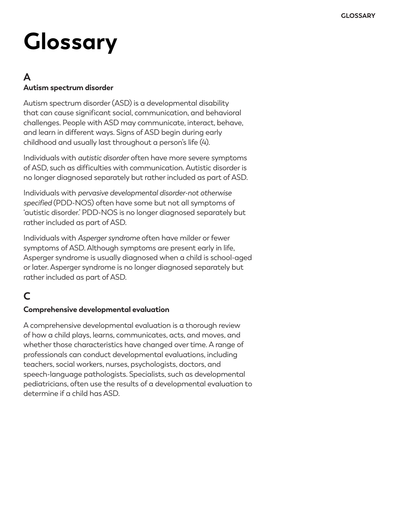# **Glossary**

#### **A Autism spectrum disorder**

Autism spectrum disorder (ASD) is a developmental disability that can cause significant social, communication, and behavioral challenges. People with ASD may communicate, interact, behave, and learn in different ways. Signs of ASD begin during early childhood and usually last throughout a person's life (4).

Individuals with *autistic disorder* often have more severe symptoms of ASD, such as difficulties with communication. Autistic disorder is no longer diagnosed separately but rather included as part of ASD.

Individuals with *pervasive developmental disorder-not otherwise specified* (PDD-NOS) often have some but not all symptoms of 'autistic disorder.' PDD-NOS is no longer diagnosed separately but rather included as part of ASD.

Individuals with *Asperger syndrome* often have milder or fewer symptoms of ASD. Although symptoms are present early in life, Asperger syndrome is usually diagnosed when a child is school-aged or later. Asperger syndrome is no longer diagnosed separately but rather included as part of ASD.

# **C**

#### **Comprehensive developmental evaluation**

A comprehensive developmental evaluation is a thorough review of how a child plays, learns, communicates, acts, and moves, and whether those characteristics have changed over time. A range of professionals can conduct developmental evaluations, including teachers, social workers, nurses, psychologists, doctors, and speech-language pathologists. Specialists, such as developmental pediatricians, often use the results of a developmental evaluation to determine if a child has ASD.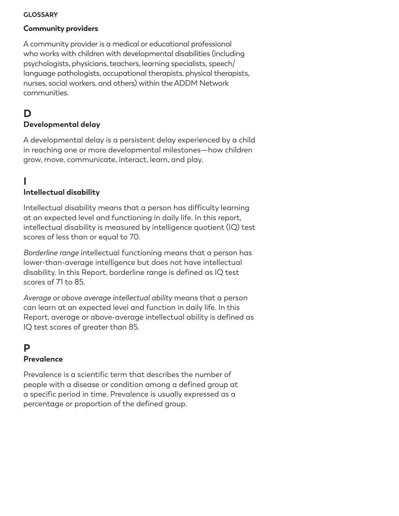#### **GLOSSARY**

#### **Community providers**

A community provider is a medical or educational professional who works with children with developmental disabilities (including psychologists, physicians, teachers, learning specialists, speech/ language pathologists, occupational therapists, physical therapists, nurses, social workers, and others) within the ADDM Network communities.

## **D**

#### **Developmental delay**

A developmental delay is a persistent delay experienced by a child in reaching one or more developmental milestones—how children grow, move, communicate, interact, learn, and play.

# **I**

#### **Intellectual disability**

Intellectual disability means that a person has difficulty learning at an expected level and functioning in daily life. In this report, intellectual disability is measured by intelligence quotient (IQ) test scores of less than or equal to 70.

*Borderline range* intellectual functioning means that a person has lower-than-average intelligence but does not have intellectual disability. In this Report, borderline range is defined as IQ test scores of 71 to 85.

*Average or above average intellectual ability* means that a person can learn at an expected level and function in daily life. In this Report, average or above-average intellectual ability is defined as IQ test scores of greater than 85.

## **P**

#### **Prevalence**

Prevalence is a scientific term that describes the number of people with a disease or condition among a defined group at a specific period in time. Prevalence is usually expressed as a percentage or proportion of the defined group.